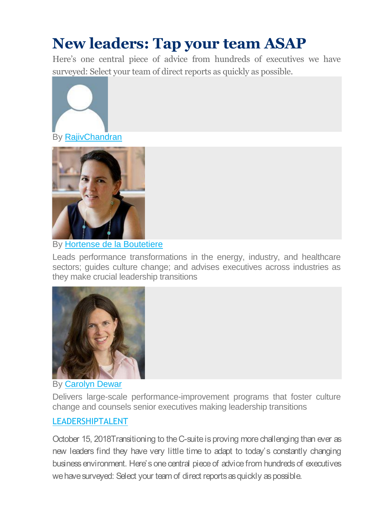## **New leaders: Tap your team ASAP**

Here's one central piece of advice from hundreds of executives we have surveyed: Select your team of direct reports as quickly as possible.



By [RajivChandran](https://www.mckinsey.com/business-functions/organization/our-insights/the-organization-blog/author/rajiv-chandran)



By [Hortense de la Boutetiere](https://www.mckinsey.com/business-functions/organization/our-insights/the-organization-blog/author/hortense-de-la-boutetiere)

Leads performance transformations in the energy, industry, and healthcare sectors; guides culture change; and advises executives across industries as they make crucial leadership transitions



## By [Carolyn Dewar](https://www.mckinsey.com/business-functions/organization/our-insights/the-organization-blog/author/carolyn-dewar)

Delivers large-scale performance-improvement programs that foster culture change and counsels senior executives making leadership transitions

## [LEADERSHIPTALENT](https://www.mckinsey.com/business-functions/organization/our-insights/the-organization-blog/tag/leadership)

October 15, 2018Transitioning to the C-suite is proving more challenging than ever as new leaders find they have very little time to adapt to today's constantly changing business environment. Here's one central piece of advice from hundreds of executives we have surveyed: Select your team of direct reports as quickly as possible.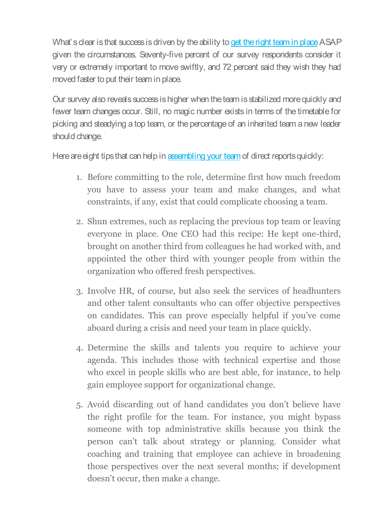What's clear is that success is driven by the ability to [get the right team in place](https://www.mckinsey.com/featured-insights/leadership/ascending-to-the-c-suite) ASAP given the circumstances. Seventy-five percent of our survey respondents consider it very or extremely important to move swiftly, and 72 percent said they wish they had moved faster to put their team in place.

Our survey also reveals success is higher when the team is stabilized more quickly and fewer team changes occur. Still, no magic number exists in terms of the timetable for picking and steadying a top team, or the percentage of an inherited team a new leader should change.

Here are eight tips that can help in [assembling your team](https://www.mckinsey.com/business-functions/learning-programs-for-clients/overview/mckinsey-academy/how-we-help-clients/executive-programs/executive-transitions-master-class) of direct reports quickly:

- 1. Before committing to the role, determine first how much freedom you have to assess your team and make changes, and what constraints, if any, exist that could complicate choosing a team.
- 2. Shun extremes, such as replacing the previous top team or leaving everyone in place. One CEO had this recipe: He kept one-third, brought on another third from colleagues he had worked with, and appointed the other third with younger people from within the organization who offered fresh perspectives.
- 3. Involve HR, of course, but also seek the services of headhunters and other talent consultants who can offer objective perspectives on candidates. This can prove especially helpful if you've come aboard during a crisis and need your team in place quickly.
- 4. Determine the skills and talents you require to achieve your agenda. This includes those with technical expertise and those who excel in people skills who are best able, for instance, to help gain employee support for organizational change.
- 5. Avoid discarding out of hand candidates you don't believe have the right profile for the team. For instance, you might bypass someone with top administrative skills because you think the person can't talk about strategy or planning. Consider what coaching and training that employee can achieve in broadening those perspectives over the next several months; if development doesn't occur, then make a change.